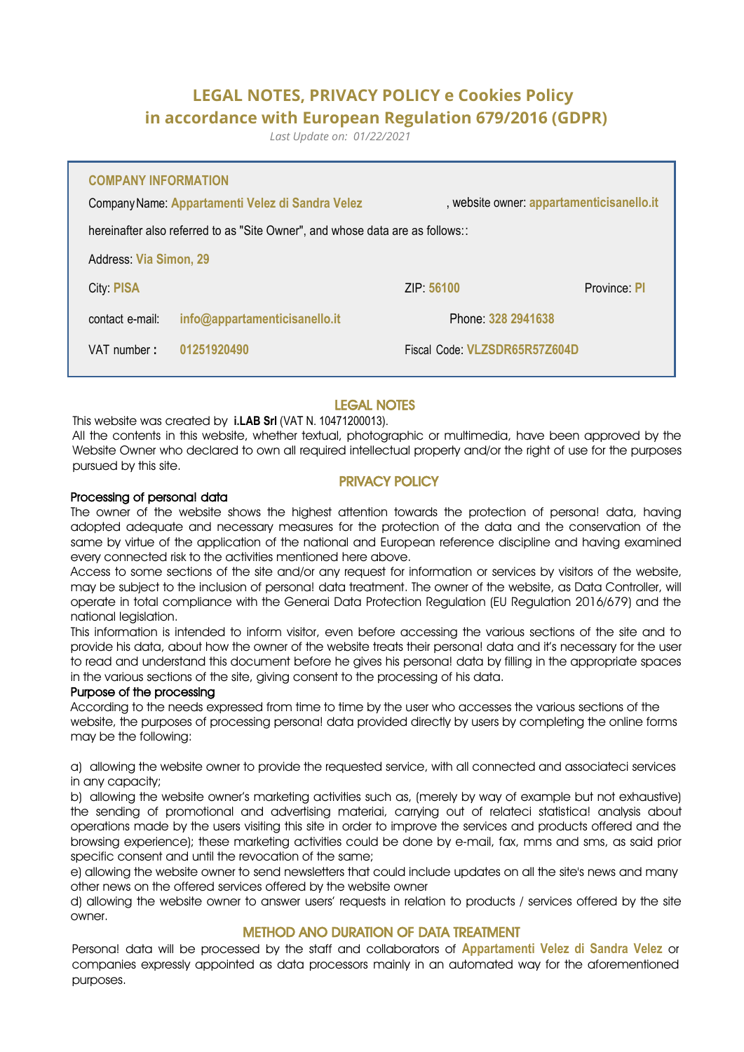# **LEGAL NOTES, PRIVACY POLICY e Cookies Policy in accordance with European Regulation 679/2016 (GDPR)**

*Last Update on: 01/22/2021*

| <b>COMPANY INFORMATION</b><br>, website owner: appartamenticisanello.it<br>Company Name: Appartamenti Velez di Sandra Velez |                    |                               |  |
|-----------------------------------------------------------------------------------------------------------------------------|--------------------|-------------------------------|--|
| hereinafter also referred to as "Site Owner", and whose data are as follows::                                               |                    |                               |  |
| <b>Address: Via Simon, 29</b>                                                                                               |                    |                               |  |
| <b>City: PISA</b>                                                                                                           | ZIP: 56100         | Province: PI                  |  |
| info@appartamenticisanello.it<br>contact e-mail:                                                                            | Phone: 328 2941638 |                               |  |
| VAT number:<br>01251920490                                                                                                  |                    | Fiscal Code: VLZSDR65R57Z604D |  |

# LEGAL NOTES

This website was created by **i.LAB Srl** (VAT N. 10471200013).

AII the contents in this website, whether textual, photographic or multimedia, have been approved by the Website Owner who declared to own all required intellectual property and/or the right of use for the purposes pursued by this site.

# PRIVACY POLICY

#### Processing of persona! data

The owner of the website shows the highest attention towards the protection of persona! data, having adopted adequate and necessary measures for the protection of the data and the conservation of the same by virtue of the application of the national and European reference discipline and having examined every connected risk to the activities mentioned here above.

Access to some sections of the site and/or any request for information or services by visitors of the website, may be subject to the inclusion of persona! data treatment. The owner of the website, as Data Controller, will operate in total compliance with the Generai Data Protection Regulation (EU Regulation 2016/679) and the national legislation.

This information is intended to inform visitor, even before accessing the various sections of the site and to provide his data, about how the owner of the website treats their persona! data and it's necessary for the user to read and understand this document before he gives his persona! data by filling in the appropriate spaces in the various sections of the site, giving consent to the processing of his data.

#### Purpose of the processing

According to the needs expressed from time to time by the user who accesses the various sections of the website, the purposes of processing persona! data provided directly by users by completing the online forms may be the following:

a) allowing the website owner to provide the requested service, with all connected and associateci services in any capacity;

b) allowing the website owner's marketing activities such as, (merely by way of example but not exhaustive) the sending of promotional and advertising materiai, carrying out of relateci statistica! analysis about operations made by the users visiting this site in order to improve the services and products offered and the browsing experience); these marketing activities could be done by e-mail, fax, mms and sms, as said prior specific consent and until the revocation of the same;

e) allowing the website owner to send newsletters that could include updates on all the site's news and many other news on the offered services offered by the website owner

d) allowing the website owner to answer users' requests in relation to products / services offered by the site owner.

## METHOD ANO DURATION OF DATA TREATMENT

Persona! data will be processed by the staff and collaborators of **Appartamenti Velez di Sandra Velez** or companies expressly appointed as data processors mainly in an automated way for the aforementioned purposes.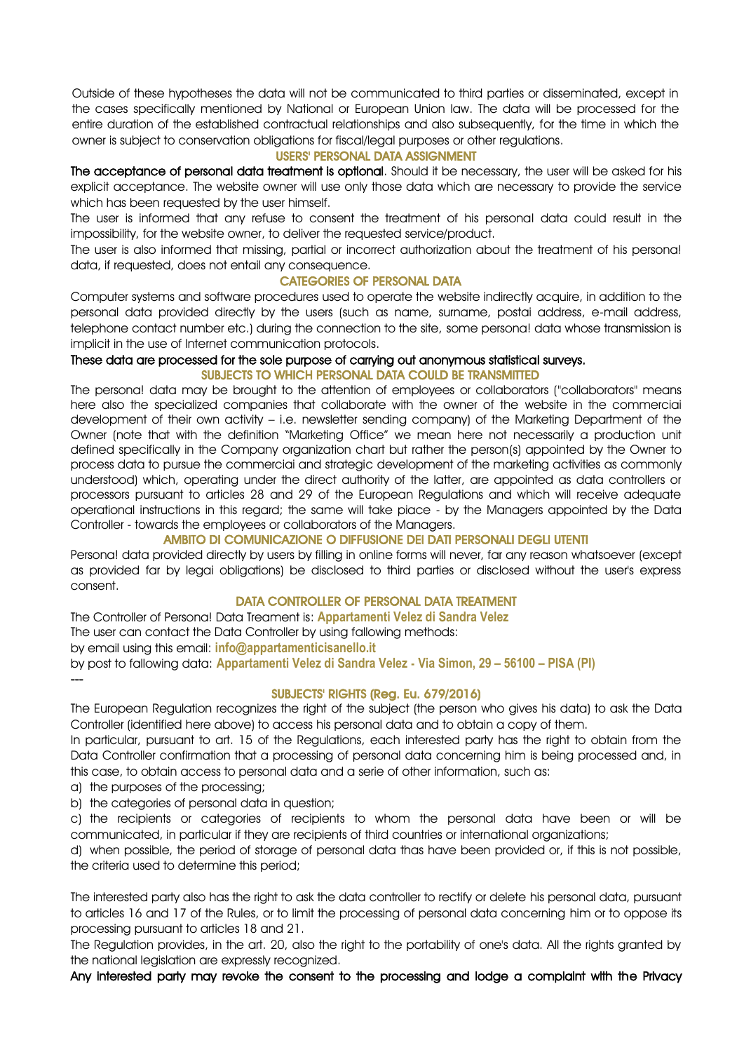Outside of these hypotheses the data will not be communicated to third parties or disseminated, except in the cases specifically mentioned by National or European Union law. The data will be processed for the entire duration of the established contractual relationships and also subsequently, for the time in which the owner is subject to conservation obligations for fiscal/legal purposes or other regulations.

#### USERS' PERSONAL DATA ASSIGNMENT

The acceptance of personal data treatment is optional. Should it be necessary, the user will be asked for his explicit acceptance. The website owner will use only those data which are necessary to provide the service which has been requested by the user himself.

The user is informed that any refuse to consent the treatment of his personal data could result in the impossibility, for the website owner, to deliver the requested service/product.

The user is also informed that missing, partial or incorrect authorization about the treatment of his persona! data, if requested, does not entail any consequence.

#### CATEGORIES OF PERSONAL DATA

Computer systems and software procedures used to operate the website indirectly acquire, in addition to the personal data provided directly by the users (such as name, surname, postai address, e-mail address, telephone contact number etc.) during the connection to the site, some persona! data whose transmission is implicit in the use of Internet communication protocols.

## These data are processed for the sole purpose of carrying out anonymous statistical surveys.

#### SUBJECTS TO WHICH PERSONAL DATA COULD BE TRANSMITTED

The persona! data may be brought to the attention of employees or collaborators ("collaborators" means here also the specialized companies that collaborate with the owner of the website in the commerciai development of their own activity – i.e. newsletter sending company) of the Marketing Department of the Owner (note that with the definition "Marketing Office" we mean here not necessarily a production unit defined specifically in the Company organization chart but rather the person(s) appointed by the Owner to process data to pursue the commerciai and strategic development of the marketing activities as commonly understood) which, operating under the direct authority of the latter, are appointed as data controllers or processors pursuant to articles 28 and 29 of the European Regulations and which will receive adequate operational instructions in this regard; the same will take piace - by the Managers appointed by the Data Controller - towards the employees or collaborators of the Managers.

## AMBITO DI COMUNICAZIONE O DIFFUSIONE DEI DATI PERSONALI DEGLI UTENTI

Persona! data provided directly by users by filling in online forms will never, far any reason whatsoever (except as provided far by legai obligations) be disclosed to third parties or disclosed without the user's express consent.

## DATA CONTROLLER OF PERSONAL DATA TREATMENT

The Controller of Persona! Data Treament is: **Appartamenti Velez di Sandra Velez** The user can contact the Data Controller by using fallowing methods: by email using this email: **[info@appartamenticisanello.it](mailto:info@appartamenticisanello.it)** by post to fallowing data: **Appartamenti Velez di Sandra Velez - Via Simon, 29 – 56100 – PISA (PI)**

## SUBJECTS' RIGHTS (Reg. Eu. 679/2016)

The European Regulation recognizes the right of the subject (the person who gives his data) to ask the Data Controller (identified here above) to access his personal data and to obtain a copy of them.

In particular, pursuant to art. 15 of the Regulations, each interested party has the right to obtain from the Data Controller confirmation that a processing of personal data concerning him is being processed and, in this case, to obtain access to personal data and a serie of other information, such as:

a) the purposes of the processing;

---

b) the categories of personal data in question;

c) the recipients or categories of recipients to whom the personal data have been or will be communicated, in particular if they are recipients of third countries or international organizations;

d) when possible, the period of storage of personal data thas have been provided or, if this is not possible, the criteria used to determine this period;

The interested party also has the right to ask the data controller to rectify or delete his personal data, pursuant to articles 16 and 17 of the Rules, or to limit the processing of personal data concerning him or to oppose its processing pursuant to articles 18 and 21.

The Regulation provides, in the art. 20, also the right to the portability of one's data. All the rights granted by the national legislation are expressly recognized.

Any interested party may revoke the consent to the processing and lodge a complaint with the Privacy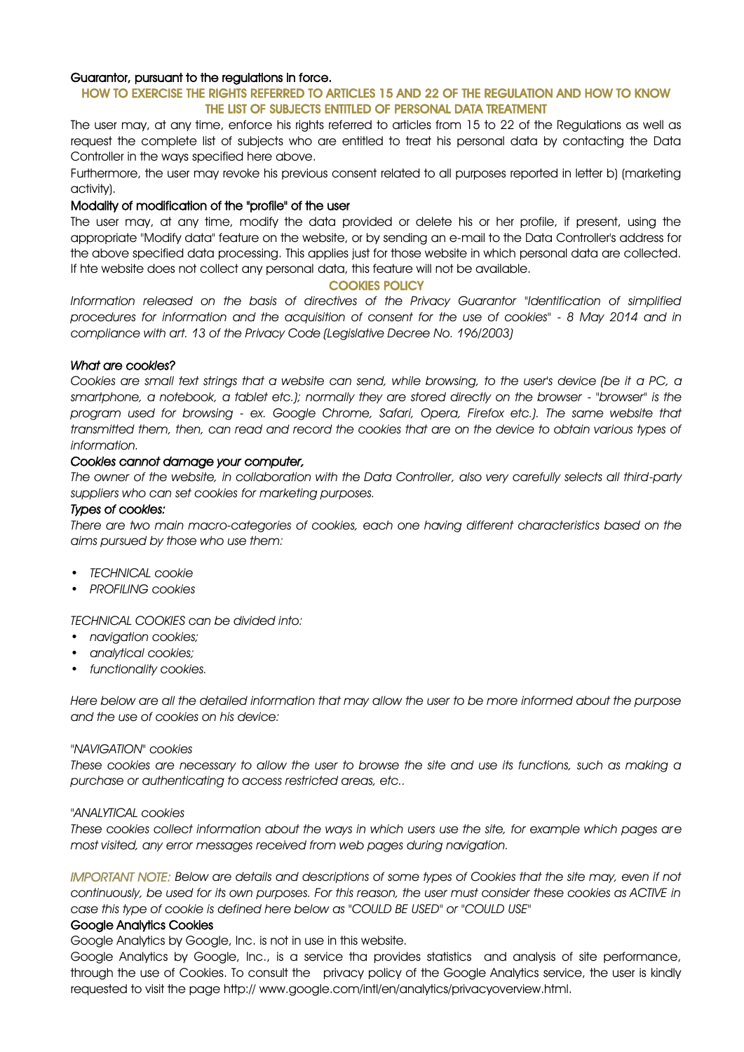## Guarantor, pursuant to the regulations in force.

## HOW TO EXERCISE THE RIGHTS REFERRED TO ARTICLES 15 AND 22 OF THE REGULATION AND HOW TO KNOW THE LIST OF SUBJECTS ENTITLED OF PERSONAL DATA TREATMENT

The user may, at any time, enforce his rights referred to articles from 15 to 22 of the Regulations as well as request the complete list of subjects who are entitled to treat his personal data by contacting the Data Controller in the ways specified here above.

Furthermore, the user may revoke his previous consent related to all purposes reported in letter b) (marketing activity).

#### Modality of modification of the "profile" of the user

The user may, at any time, modify the data provided or delete his or her profile, if present, using the appropriate "Modify data" feature on the website, or by sending an e-mail to the Data Controller's address for the above specified data processing. This applies just for those website in which personal data are collected. If hte website does not collect any personal data, this feature will not be available.

#### COOKIES POLICY

*Information released on the basis of directives of the Privacy Guarantor "Identification of simplified procedures for information and the acquisition of consent for the use of cookies" - 8 May 2014 and in compliance with art. 13 of the Privacy Code (Legislative Decree No. 196/2003)*

#### *What are cookies?*

*Cookies are small text strings that a website can send, while browsing, to the user's device (be it a PC, a smartphone, a notebook, a tablet etc.); normally they are stored directly on the browser - "browser" is the program used for browsing - ex. Google Chrome, Safari, Opera, Firefox etc.). The same website that transmitted them, then, can read and record the cookies that are on the device to obtain various types of information.*

#### *Cookies cannot damage your computer,*

*The owner of the website, in collaboration with the Data Controller, also very carefully selects all third-party suppliers who can set cookies for marketing purposes.*

#### *Types of cookies:*

*There are two main macro-categories of cookies, each one having different characteristics based on the aims pursued by those who use them:*

- *• TECHNICAL cookie*
- *• PROFILING cookies*

*TECHNICAL COOKIES can be divided into:*

- *• navigation cookies;*
- *• analytical cookies;*
- *• functionality cookies.*

*Here below are all the detailed information that may allow the user to be more informed about the purpose and the use of cookies on his device:*

#### *"NAVIGATION" cookies*

*These cookies are necessary to allow the user to browse the site and use its functions, such as making a purchase or authenticating to access restricted areas, etc..*

#### *"ANALYTICAL cookies*

*These cookies collect information about the ways in which users use the site, for example which pages are most visited, any error messages received from web pages during navigation.*

*IMPORTANT NOTE: Below are details and descriptions of some types of Cookies that the site may, even if not continuously, be used for its own purposes. For this reason, the user must consider these cookies as ACTIVE in case this type of cookie is defined here below as "COULD BE USED" or "COULD USE"*

#### Google Analytics Cookies

Google Analytics by Google, Inc. is not in use in this website.

Google Analytics by Google, Inc., is a service tha provides statistics and analysis of site performance, through the use of Cookies. To consult the privacy policy of the Google Analytics service, the user is kindly requested to visit the page http:// www.google.com/intl/en/analytics/privacyoverview.html.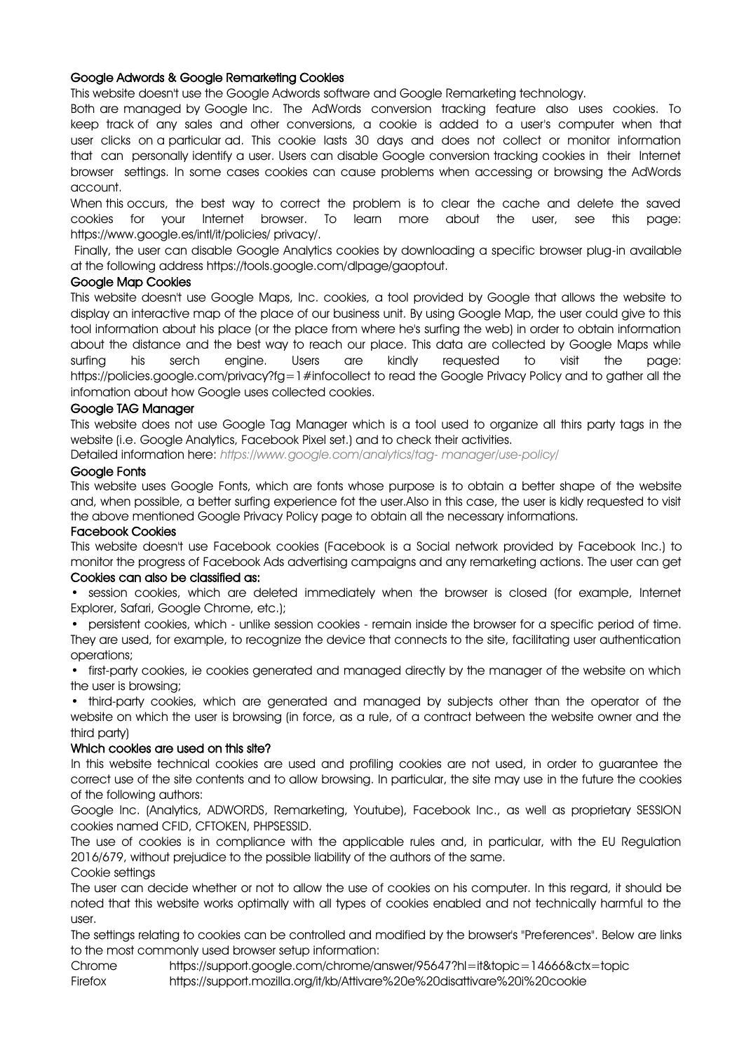## Google Adwords & Google Remarketing Cookies

This website doesn't use the Google Adwords software and Google Remarketing technology.

Both are managed by Google Inc. The AdWords conversion tracking feature also uses cookies. To keep track of any sales and other conversions, a cookie is added to a user's computer when that user clicks on a particular ad. This cookie lasts 30 days and does not collect or monitor information that can personally identify a user. Users can disable Google conversion tracking cookies in their Internet browser settings. In some cases cookies can cause problems when accessing or browsing the AdWords account.

When this occurs, the best way to correct the problem is to clear the cache and delete the saved<br>cookies for your Internet browser. To learn more about the user, see this nade: cookies for your Internet browser. To learn more about the user, see this page: https://www.google.es/intl/it/policies/ privacy/.

Finally, the user can disable Google Analytics cookies by downloading a specific browser plug-in available at the following address https://tools.google.com/dlpage/gaoptout.

#### Google Map Cookies

This website doesn't use Google Maps, Inc. cookies, a tool provided by Google that allows the website to display an interactive map of the place of our business unit. By using Google Map, the user could give to this tool information about his place (or the place from where he's surfing the web) in order to obtain information about the distance and the best way to reach our place. This data are collected by Google Maps while surfing his serch engine. Users are kindly requested to visit the page: https://policies.google.com/privacy?fg=1#infocollect to read the Google Privacy Policy and to gather all the infomation about how Google uses collected cookies.

#### Google TAG Manager

This website does not use Google Tag Manager which is a tool used to organize all thirs party tags in the website (i.e. Google Analytics, Facebook Pixel set.) and to check their activities.

Detailed information here: *[https://www.google.com/analytics/tag-](http://www.google.com/analytics/tag-) manager/use-policy/*

#### Google Fonts

This website uses Google Fonts, which are fonts whose purpose is to obtain a better shape of the website and, when possible, a better surfing experience fot the user.Also in this case, the user is kidly requested to visit the above mentioned Google Privacy Policy page to obtain all the necessary informations.

#### Facebook Cookies

This website doesn't use Facebook cookies (Facebook is a Social network provided by Facebook Inc.) to monitor the progress of Facebook Ads advertising campaigns and any remarketing actions. The user can get

## Cookies can also be classified as:

• session cookies, which are deleted immediately when the browser is closed (for example, Internet Explorer, Safari, Google Chrome, etc.);

• persistent cookies, which - unlike session cookies - remain inside the browser for a specific period of time. They are used, for example, to recognize the device that connects to the site, facilitating user authentication operations;

• first-party cookies, ie cookies generated and managed directly by the manager of the website on which the user is browsing;

• third-party cookies, which are generated and managed by subjects other than the operator of the website on which the user is browsing (in force, as a rule, of a contract between the website owner and the third party)

## Which cookies are used on this site?

In this website technical cookies are used and profiling cookies are not used, in order to guarantee the correct use of the site contents and to allow browsing. In particular, the site may use in the future the cookies of the following authors:

Google Inc. (Analytics, ADWORDS, Remarketing, Youtube), Facebook Inc., as well as proprietary SESSION cookies named CFID, CFTOKEN, PHPSESSID.

The use of cookies is in compliance with the applicable rules and, in particular, with the EU Regulation 2016/679, without prejudice to the possible liability of the authors of the same.

## Cookie settings

The user can decide whether or not to allow the use of cookies on his computer. In this regard, it should be noted that this website works optimally with all types of cookies enabled and not technically harmful to the user.

The settings relating to cookies can be controlled and modified by the browser's "Preferences". Below are links to the most commonly used browser setup information:

Chrome https://support.google.com/chrome/answer/95647?hl=it&topic=14666&ctx=topic Firefox https://support.mozilla.org/it/kb/Attivare%20e%20disattivare%20i%20cookie